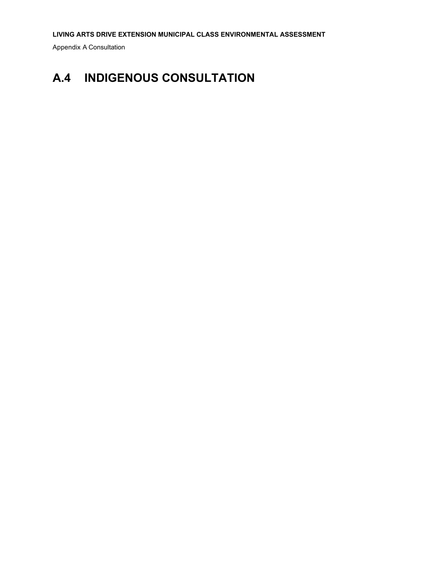Appendix A Consultation

## **A.4 INDIGENOUS CONSULTATION**